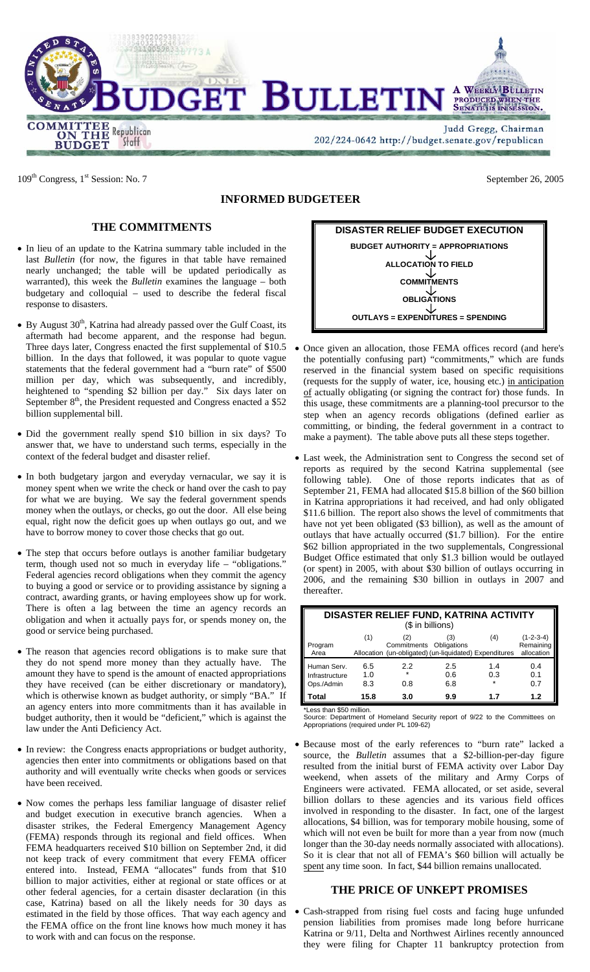

109<sup>th</sup> Congress, 1<sup>st</sup> Session: No. 7 September 26, 2005

**COMMITTEE Republican**<br> **ON THE Republican**<br> **BUDGET** Staff

## **INFORMED BUDGETEER**

DGET BULLETIN

# **THE COMMITMENTS**

- In lieu of an update to the Katrina summary table included in the last *Bulletin* (for now, the figures in that table have remained nearly unchanged; the table will be updated periodically as warranted), this week the *Bulletin* examines the language – both budgetary and colloquial – used to describe the federal fiscal response to disasters.
- By August  $30<sup>th</sup>$ , Katrina had already passed over the Gulf Coast, its aftermath had become apparent, and the response had begun. Three days later, Congress enacted the first supplemental of \$10.5 billion. In the days that followed, it was popular to quote vague statements that the federal government had a "burn rate" of \$500 million per day, which was subsequently, and incredibly, heightened to "spending \$2 billion per day." Six days later on September  $8<sup>th</sup>$ , the President requested and Congress enacted a \$52 billion supplemental bill.
- Did the government really spend \$10 billion in six days? To answer that, we have to understand such terms, especially in the context of the federal budget and disaster relief.
- In both budgetary jargon and everyday vernacular, we say it is money spent when we write the check or hand over the cash to pay for what we are buying. We say the federal government spends money when the outlays, or checks, go out the door. All else being equal, right now the deficit goes up when outlays go out, and we have to borrow money to cover those checks that go out.
- The step that occurs before outlays is another familiar budgetary term, though used not so much in everyday life – "obligations." Federal agencies record obligations when they commit the agency to buying a good or service or to providing assistance by signing a contract, awarding grants, or having employees show up for work. There is often a lag between the time an agency records an obligation and when it actually pays for, or spends money on, the good or service being purchased.
- The reason that agencies record obligations is to make sure that they do not spend more money than they actually have. The amount they have to spend is the amount of enacted appropriations they have received (can be either discretionary or mandatory), which is otherwise known as budget authority, or simply "BA." If an agency enters into more commitments than it has available in budget authority, then it would be "deficient," which is against the law under the Anti Deficiency Act.
- In review: the Congress enacts appropriations or budget authority, agencies then enter into commitments or obligations based on that authority and will eventually write checks when goods or services have been received.
- Now comes the perhaps less familiar language of disaster relief and budget execution in executive branch agencies. When a disaster strikes, the Federal Emergency Management Agency (FEMA) responds through its regional and field offices. When FEMA headquarters received \$10 billion on September 2nd, it did not keep track of every commitment that every FEMA officer entered into. Instead, FEMA "allocates" funds from that \$10 billion to major activities, either at regional or state offices or at other federal agencies, for a certain disaster declaration (in this case, Katrina) based on all the likely needs for 30 days as estimated in the field by those offices. That way each agency and the FEMA office on the front line knows how much money it has to work with and can focus on the response.



- Once given an allocation, those FEMA offices record (and here's the potentially confusing part) "commitments," which are funds reserved in the financial system based on specific requisitions (requests for the supply of water, ice, housing etc.) in anticipation of actually obligating (or signing the contract for) those funds. In this usage, these commitments are a planning-tool precursor to the step when an agency records obligations (defined earlier as committing, or binding, the federal government in a contract to make a payment). The table above puts all these steps together.
- Last week, the Administration sent to Congress the second set of reports as required by the second Katrina supplemental (see following table). One of those reports indicates that as of September 21, FEMA had allocated \$15.8 billion of the \$60 billion in Katrina appropriations it had received, and had only obligated \$11.6 billion. The report also shows the level of commitments that have not yet been obligated (\$3 billion), as well as the amount of outlays that have actually occurred (\$1.7 billion). For the entire \$62 billion appropriated in the two supplementals, Congressional Budget Office estimated that only \$1.3 billion would be outlayed (or spent) in 2005, with about \$30 billion of outlays occurring in 2006, and the remaining \$30 billion in outlays in 2007 and thereafter.

| DISASTER RELIEF FUND, KATRINA ACTIVITY      |                   |                                                                                          |                   |                       |                                        |
|---------------------------------------------|-------------------|------------------------------------------------------------------------------------------|-------------------|-----------------------|----------------------------------------|
| (\$ in billions)                            |                   |                                                                                          |                   |                       |                                        |
| Program<br>Area                             | (1)               | (2)<br>Commitments Obligations<br>Allocation (un-obligated) (un-liquidated) Expenditures | (3)               | (4)                   | $(1-2-3-4)$<br>Remaining<br>allocation |
| Human Serv.<br>Infrastructure<br>Ops./Admin | 6.5<br>1.0<br>8.3 | 2.2<br>$\star$<br>0.8                                                                    | 2.5<br>0.6<br>6.8 | 1.4<br>0.3<br>$\star$ | 0.4<br>0.1<br>0.7                      |
| Total                                       | 15.8              | 3.0                                                                                      | 9.9               | 1.7                   | 1.2                                    |

\*Less than \$50 million.

Source: Department of Homeland Security report of 9/22 to the Committees on Appropriations (required under PL 109-62)

• Because most of the early references to "burn rate" lacked a source, the *Bulletin* assumes that a \$2-billion-per-day figure resulted from the initial burst of FEMA activity over Labor Day weekend, when assets of the military and Army Corps of Engineers were activated. FEMA allocated, or set aside, several billion dollars to these agencies and its various field offices involved in responding to the disaster. In fact, one of the largest allocations, \$4 billion, was for temporary mobile housing, some of which will not even be built for more than a year from now (much longer than the 30-day needs normally associated with allocations). So it is clear that not all of FEMA's \$60 billion will actually be spent any time soon. In fact, \$44 billion remains unallocated.

### **THE PRICE OF UNKEPT PROMISES**

• Cash-strapped from rising fuel costs and facing huge unfunded pension liabilities from promises made long before hurricane Katrina or 9/11, Delta and Northwest Airlines recently announced they were filing for Chapter 11 bankruptcy protection from



**A WEEKLY BULLETIN** PRODUCED WHEN THE SENATE IS INSESSION.